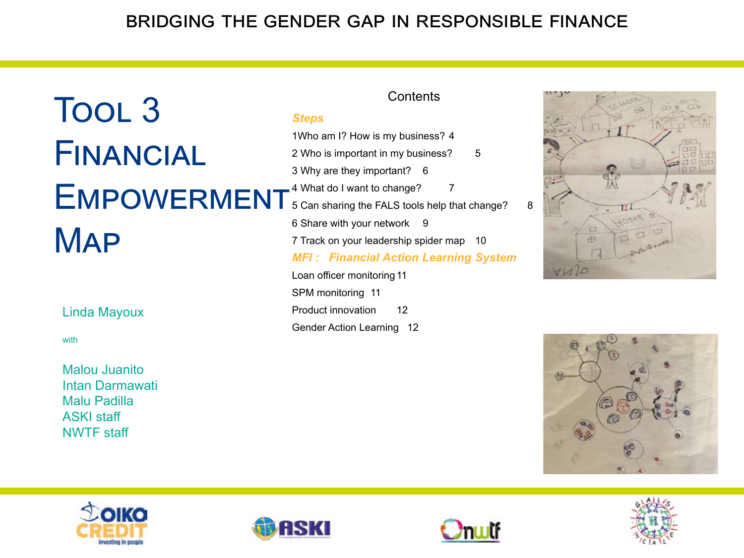# bridging the gender gap in responsible finance

# Tool 3 Financial EMPOWERMENT<sup>4 What do I want to change?</sup> **MAP**

#### Linda Mayoux

with

Malou Juanito Intan Darmawati Malu Padilla ASKI staff NWTF staff

#### **Contents**

#### *Steps*

1Who am I? How is my business? 4 2 Who is important in my business? 5 3 Why are they important? 6 5 Can sharing the FALS tools help that change? 8 6 Share with your network 9 7 Track on your leadership spider map 10 *MFI : Financial Action Learning System* Loan officer monitoring 11 SPM monitoring 11 Product innovation 12 Gender Action Learning 12











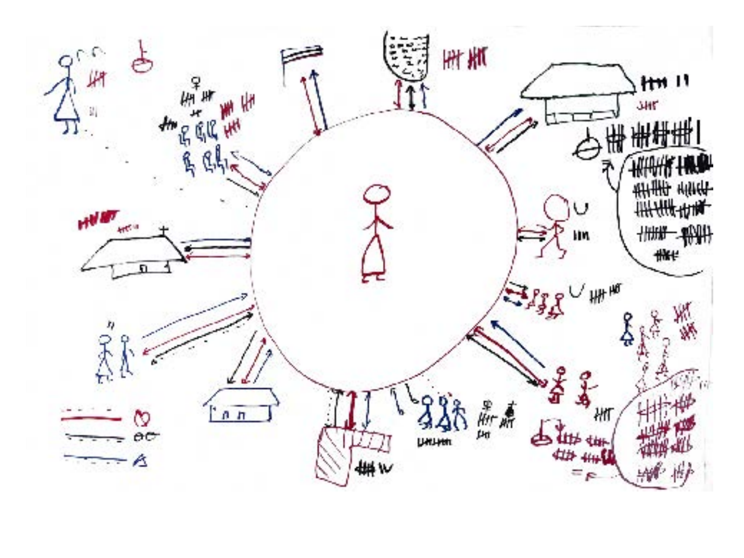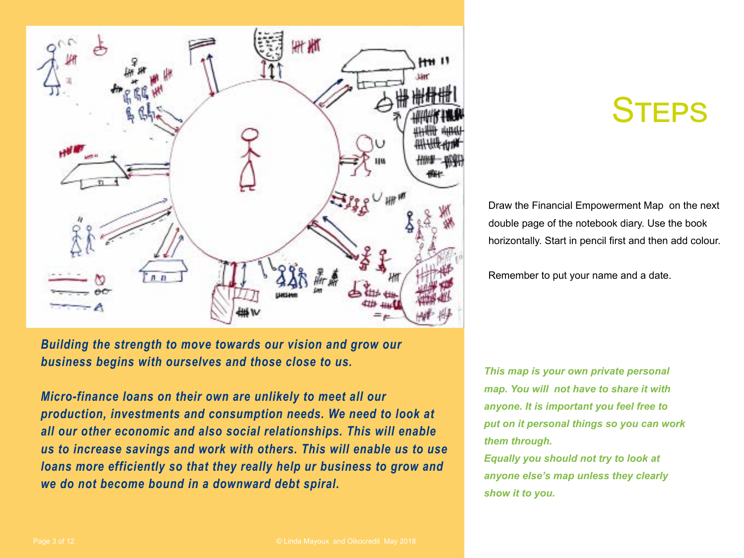

*Building the strength to move towards our vision and grow our business begins with ourselves and those close to us.* 

*Micro-finance loans on their own are unlikely to meet all our production, investments and consumption needs. We need to look at all our other economic and also social relationships. This will enable us to increase savings and work with others. This will enable us to use loans more efficiently so that they really help ur business to grow and we do not become bound in a downward debt spiral.*

# **STEPS**

Draw the Financial Empowerment Map on the next double page of the notebook diary. Use the book horizontally. Start in pencil first and then add colour.

Remember to put your name and a date.

*This map is your own private personal map. You will not have to share it with anyone. It is important you feel free to put on it personal things so you can work them through.* 

*Equally you should not try to look at anyone else's map unless they clearly show it to you.*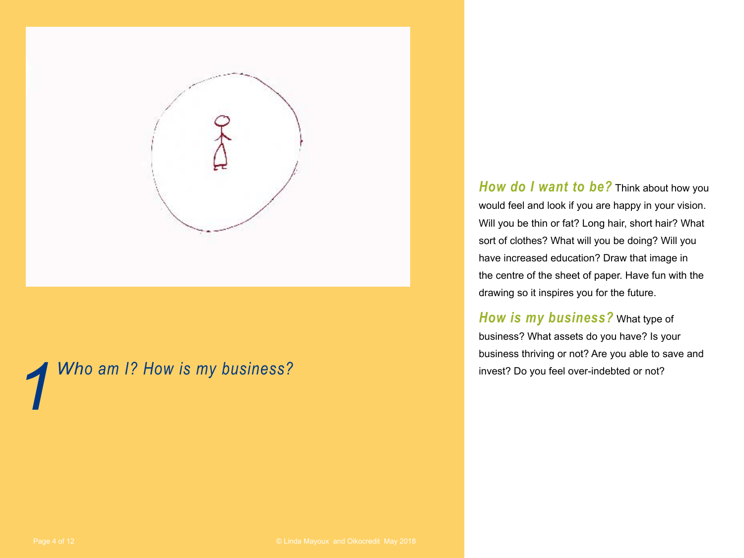

*Who am I? How is my business?* **19** *invest?* **Do you feel over-indebted or not?** 

*How do I want to be?* Think about how you would feel and look if you are happy in your vision. Will you be thin or fat? Long hair, short hair? What sort of clothes? What will you be doing? Will you have increased education? Draw that image in the centre of the sheet of paper. Have fun with the drawing so it inspires you for the future.

**How is my business?** What type of business? What assets do you have? Is your business thriving or not? Are you able to save and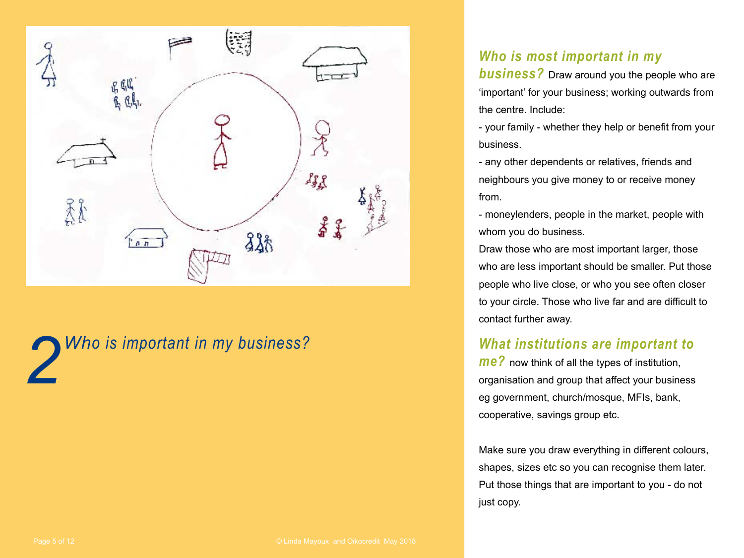

*2 Who is important in my business?*

#### *Who is most important in my*

**business?** Draw around you the people who are 'important' for your business; working outwards from the centre. Include:

- your family - whether they help or benefit from your business.

- any other dependents or relatives, friends and neighbours you give money to or receive money from.

- moneylenders, people in the market, people with whom you do business.

Draw those who are most important larger, those who are less important should be smaller. Put those people who live close, or who you see often closer to your circle. Those who live far and are difficult to contact further away.

#### *What institutions are important to*

*me?* now think of all the types of institution, organisation and group that affect your business eg government, church/mosque, MFIs, bank, cooperative, savings group etc.

Make sure you draw everything in different colours, shapes, sizes etc so you can recognise them later. Put those things that are important to you - do not just copy.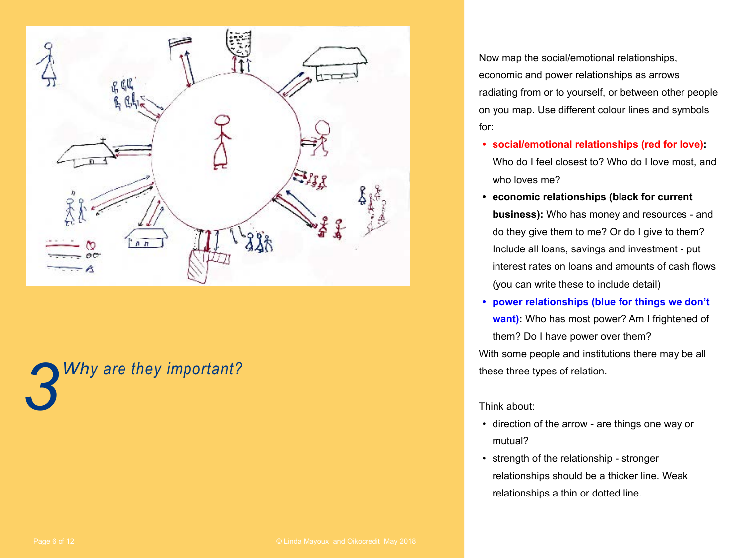

*3 Why are they important?* 

Now map the social/emotional relationships, economic and power relationships as arrows radiating from or to yourself, or between other people on you map. Use different colour lines and symbols for:

- **social/emotional relationships (red for love):**  Who do I feel closest to? Who do I love most, and who loves me?
- **economic relationships (black for current business):** Who has money and resources - and do they give them to me? Or do I give to them? Include all loans, savings and investment - put interest rates on loans and amounts of cash flows (you can write these to include detail)
- **power relationships (blue for things we don't want):** Who has most power? Am I frightened of them? Do I have power over them? With some people and institutions there may be all these three types of relation.

#### Think about:

- direction of the arrow are things one way or mutual?
- strength of the relationship stronger relationships should be a thicker line. Weak relationships a thin or dotted line.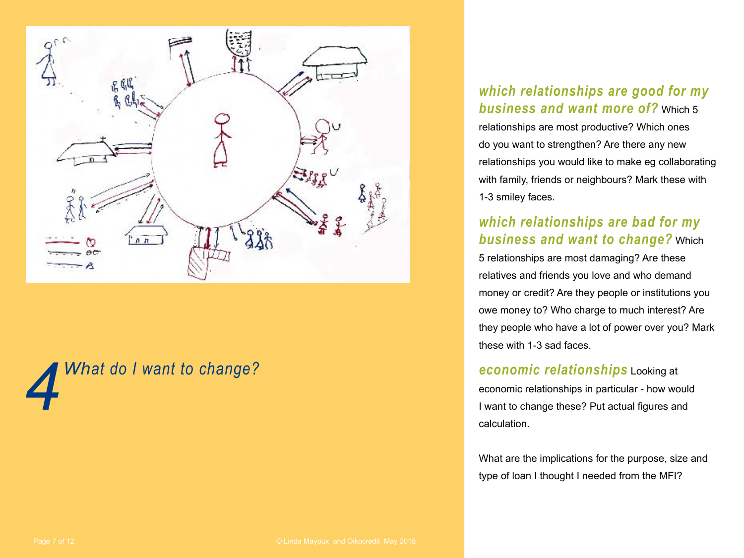

# *4 What do I want to change?*

#### *which relationships are good for my business and want more of?* Which 5

relationships are most productive? Which ones do you want to strengthen? Are there any new relationships you would like to make eg collaborating with family, friends or neighbours? Mark these with 1-3 smiley faces.

#### *which relationships are bad for my business and want to change?* Which

5 relationships are most damaging? Are these relatives and friends you love and who demand money or credit? Are they people or institutions you owe money to? Who charge to much interest? Are they people who have a lot of power over you? Mark these with 1-3 sad faces.

#### *economic relationships* Looking at economic relationships in particular - how would I want to change these? Put actual figures and calculation.

What are the implications for the purpose, size and type of loan I thought I needed from the MFI?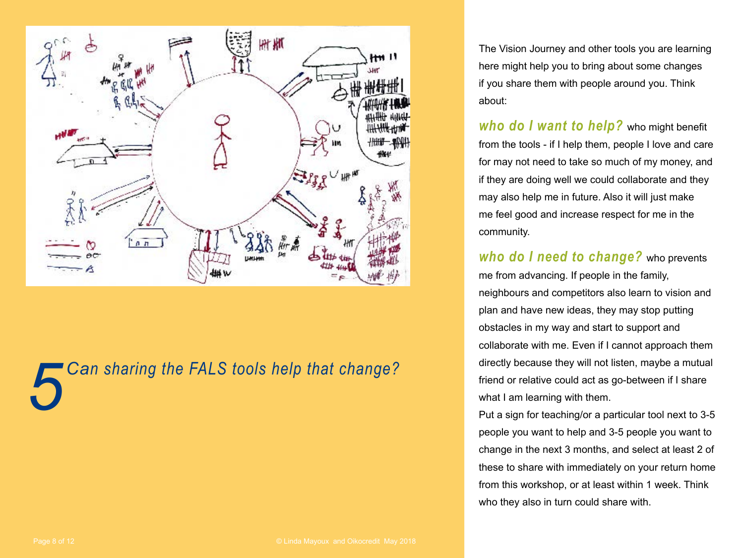

*5 Can sharing the FALS tools help that change?*

The Vision Journey and other tools you are learning here might help you to bring about some changes if you share them with people around you. Think about:

*who do I want to help?* who might benefit from the tools - if I help them, people I love and care for may not need to take so much of my money, and if they are doing well we could collaborate and they may also help me in future. Also it will just make me feel good and increase respect for me in the community.

*who do I need to change?* who prevents me from advancing. If people in the family, neighbours and competitors also learn to vision and plan and have new ideas, they may stop putting obstacles in my way and start to support and collaborate with me. Even if I cannot approach them directly because they will not listen, maybe a mutual friend or relative could act as go-between if I share what I am learning with them.

Put a sign for teaching/or a particular tool next to 3-5 people you want to help and 3-5 people you want to change in the next 3 months, and select at least 2 of these to share with immediately on your return home from this workshop, or at least within 1 week. Think who they also in turn could share with.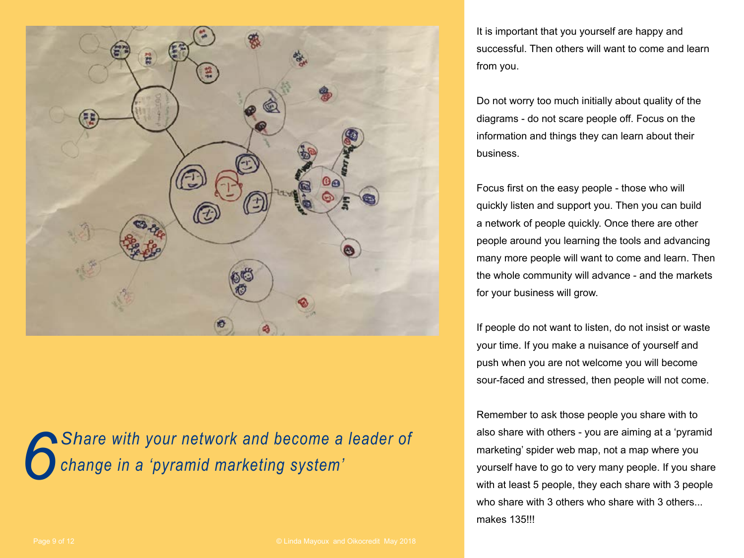

**6** Share with your network and become a leader of change in a 'pyramid marketing system' *change in a 'pyramid marketing system'*

It is important that you yourself are happy and successful. Then others will want to come and learn from you.

Do not worry too much initially about quality of the diagrams - do not scare people off. Focus on the information and things they can learn about their business.

Focus first on the easy people - those who will quickly listen and support you. Then you can build a network of people quickly. Once there are other people around you learning the tools and advancing many more people will want to come and learn. Then the whole community will advance - and the markets for your business will grow.

If people do not want to listen, do not insist or waste your time. If you make a nuisance of yourself and push when you are not welcome you will become sour-faced and stressed, then people will not come.

Remember to ask those people you share with to also share with others - you are aiming at a 'pyramid marketing' spider web map, not a map where you yourself have to go to very many people. If you share with at least 5 people, they each share with 3 people who share with 3 others who share with 3 others... makes 135!!!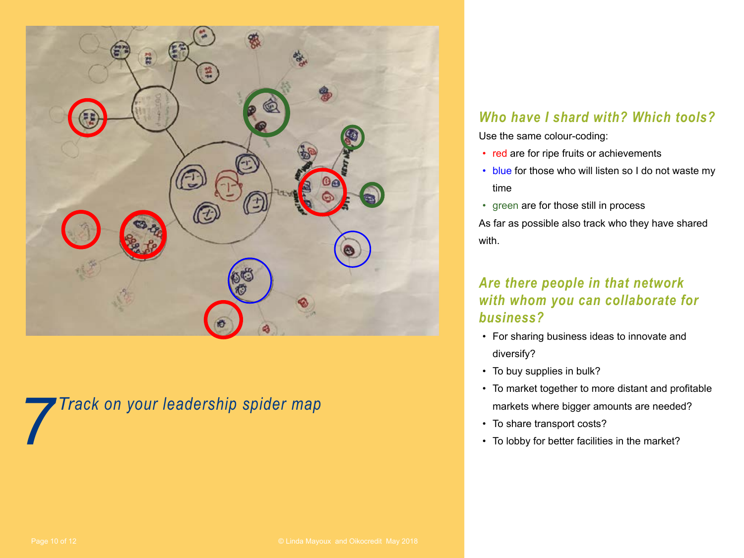

*Track on your leadership spider map 7 <b><i>Track on your leadership spider map To share transport costs? To share transport costs? To lobby for better facilities in the market?* 

#### *Who have I shard with? Which tools?*

Use the same colour-coding:

- red are for ripe fruits or achievements
- blue for those who will listen so I do not waste my time
- green are for those still in process

As far as possible also track who they have shared with.

#### *Are there people in that network with whom you can collaborate for business?*

- For sharing business ideas to innovate and diversify?
- To buy supplies in bulk?
- To market together to more distant and profitable markets where bigger amounts are needed?
- 
-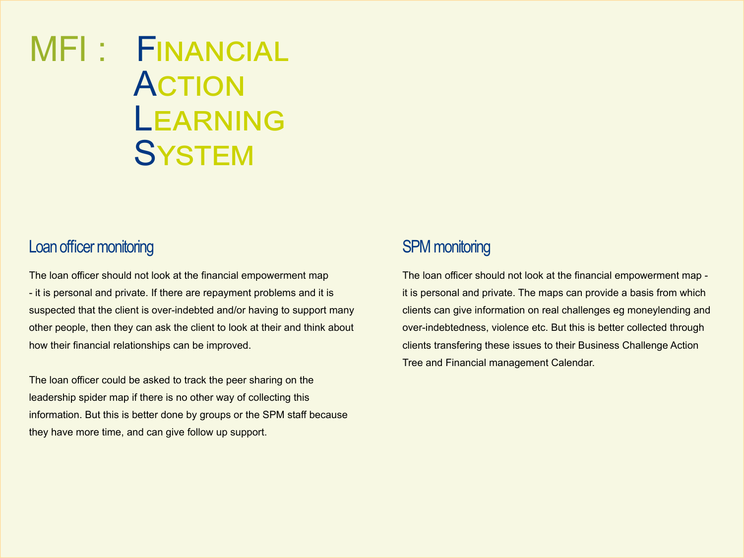# MFI : Financial ACTION LEARNING **SYSTEM**

## Loan officer monitoring

The loan officer should not look at the financial empowerment map - it is personal and private. If there are repayment problems and it is suspected that the client is over-indebted and/or having to support many other people, then they can ask the client to look at their and think about how their financial relationships can be improved.

The loan officer could be asked to track the peer sharing on the leadership spider map if there is no other way of collecting this information. But this is better done by groups or the SPM staff because they have more time, and can give follow up support.

## SPM monitoring

The loan officer should not look at the financial empowerment map it is personal and private. The maps can provide a basis from which clients can give information on real challenges eg moneylending and over-indebtedness, violence etc. But this is better collected through clients transfering these issues to their Business Challenge Action Tree and Financial management Calendar.